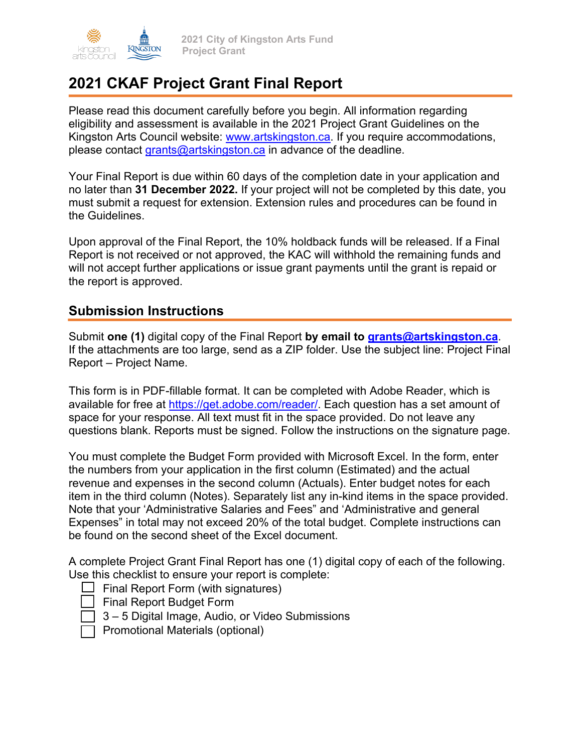

# **2021 CKAF Project Grant Final Report**

Please read this document carefully before you begin. All information regarding eligibility and assessment is available in the 2021 Project Grant Guidelines on the Kingston Arts Council website: www.artskingston.ca. If you require accommodations, please contact grants@artskingston.ca in advance of the deadline.

Your Final Report is due within 60 days of the completion date in your application and no later than **31 December 2022.** If your project will not be completed by this date, you must submit a request for extension. Extension rules and procedures can be found in the Guidelines.

Upon approval of the Final Report, the 10% holdback funds will be released. If a Final Report is not received or not approved, the KAC will withhold the remaining funds and will not accept further applications or issue grant payments until the grant is repaid or the report is approved.

### **Submission Instructions**

Submit **one (1)** digital copy of the Final Report **by email to grants@artskingston.ca**. If the attachments are too large, send as a ZIP folder. Use the subject line: Project Final Report – Project Name.

This form is in PDF-fillable format. It can be completed with Adobe Reader, which is available for free at https://get.adobe.com/reader/. Each question has a set amount of space for your response. All text must fit in the space provided. Do not leave any questions blank. Reports must be signed. Follow the instructions on the signature page.

You must complete the Budget Form provided with Microsoft Excel. In the form, enter the numbers from your application in the first column (Estimated) and the actual revenue and expenses in the second column (Actuals). Enter budget notes for each item in the third column (Notes). Separately list any in-kind items in the space provided. Note that your 'Administrative Salaries and Fees" and 'Administrative and general Expenses" in total may not exceed 20% of the total budget. Complete instructions can be found on the second sheet of the Excel document.

A complete Project Grant Final Report has one (1) digital copy of each of the following. Use this checklist to ensure your report is complete:







• Promotional Materials (optional)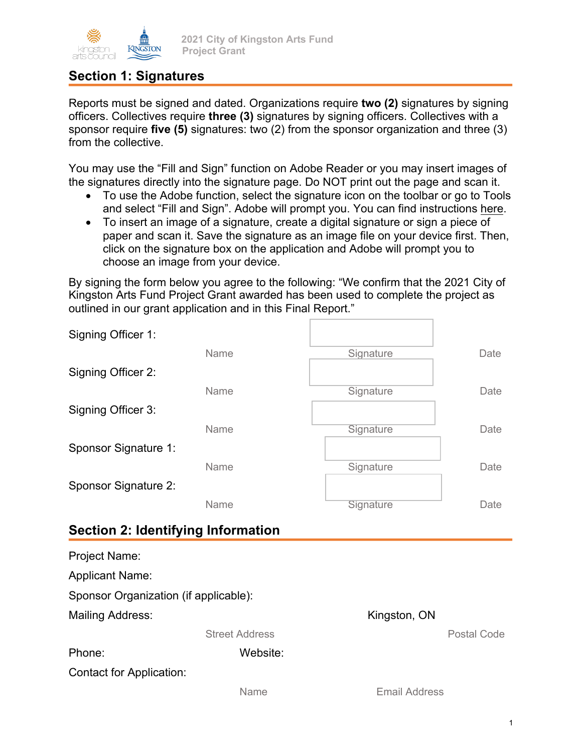

**2021 City of Kingston Arts Fund Project Grant**

### **Section 1: Signatures**

Reports must be signed and dated. Organizations require **two (2)** signatures by signing officers. Collectives require **three (3)** signatures by signing officers. Collectives with a sponsor require **five (5)** signatures: two (2) from the sponsor organization and three (3) from the collective.

You may use the "Fill and Sign" function on Adobe Reader or you may insert images of the signatures directly into the signature page. Do NOT print out the page and scan it.

- To use the Adobe function, select the signature icon on the toolbar or go to Tools and select "Fill and Sign". Adobe will prompt you. You can find instructions [here.](https://helpx.adobe.com/acrobat/using/signing-pdfs.html)
- To insert an image of a signature, create a digital signature or sign a piece of paper and scan it. Save the signature as an image file on your device first. Then, click on the signature box on the application and Adobe will prompt you to choose an image from your device.

By signing the form below you agree to the following: "We confirm that the 2021 City of Kingston Arts Fund Project Grant awarded has been used to complete the project as outlined in our grant application and in this Final Report."

| Signing Officer 1:                        |      |           |      |
|-------------------------------------------|------|-----------|------|
|                                           | Name | Signature | Date |
| Signing Officer 2:                        |      |           |      |
|                                           | Name | Signature | Date |
| Signing Officer 3:                        |      |           |      |
|                                           | Name | Signature | Date |
| Sponsor Signature 1:                      |      |           |      |
|                                           | Name | Signature | Date |
| Sponsor Signature 2:                      |      |           |      |
|                                           | Name | Signature | Date |
| <b>Section 2: Identifying Information</b> |      |           |      |
| Project Name:                             |      |           |      |

| 1100001100000                         |                       |               |
|---------------------------------------|-----------------------|---------------|
| <b>Applicant Name:</b>                |                       |               |
| Sponsor Organization (if applicable): |                       |               |
| Mailing Address:                      |                       | Kingston, ON  |
|                                       | <b>Street Address</b> | Postal Code   |
| Phone:                                | Website:              |               |
| <b>Contact for Application:</b>       |                       |               |
|                                       | Name                  | Email Address |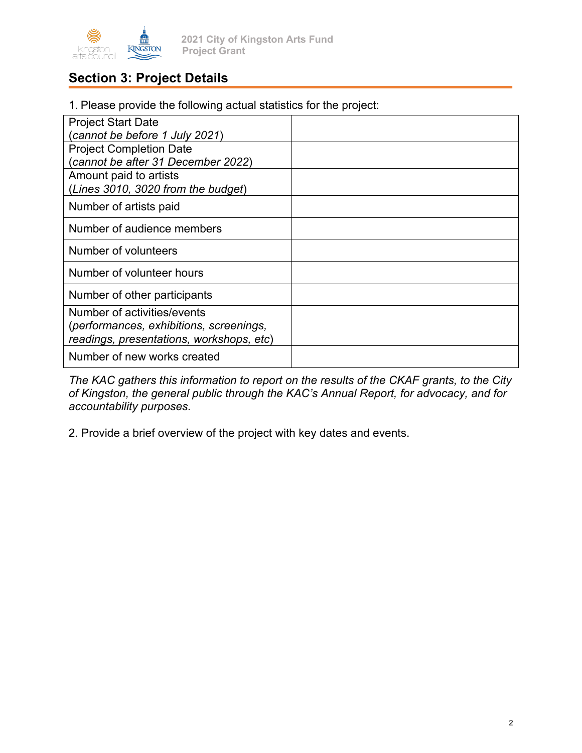

**2021 City of Kingston Arts Fund Project Grant**

## **Section 3: Project Details**

1. Please provide the following actual statistics for the project:

| <b>Project Start Date</b>                |  |
|------------------------------------------|--|
| (cannot be before 1 July 2021)           |  |
| <b>Project Completion Date</b>           |  |
| (cannot be after 31 December 2022)       |  |
| Amount paid to artists                   |  |
| (Lines 3010, 3020 from the budget)       |  |
| Number of artists paid                   |  |
| Number of audience members               |  |
| Number of volunteers                     |  |
| Number of volunteer hours                |  |
| Number of other participants             |  |
| Number of activities/events              |  |
| (performances, exhibitions, screenings,  |  |
| readings, presentations, workshops, etc) |  |
| Number of new works created              |  |

*The KAC gathers this information to report on the results of the CKAF grants, to the City of Kingston, the general public through the KAC's Annual Report, for advocacy, and for accountability purposes.* 

2. Provide a brief overview of the project with key dates and events.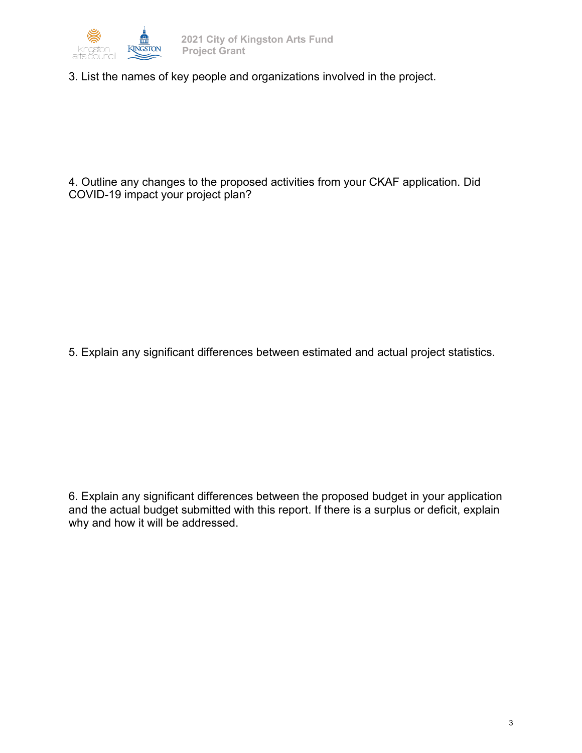

3. List the names of key people and organizations involved in the project.

4. Outline any changes to the proposed activities from your CKAF application. Did COVID-19 impact your project plan?

5. Explain any significant differences between estimated and actual project statistics.

6. Explain any significant differences between the proposed budget in your application and the actual budget submitted with this report. If there is a surplus or deficit, explain why and how it will be addressed.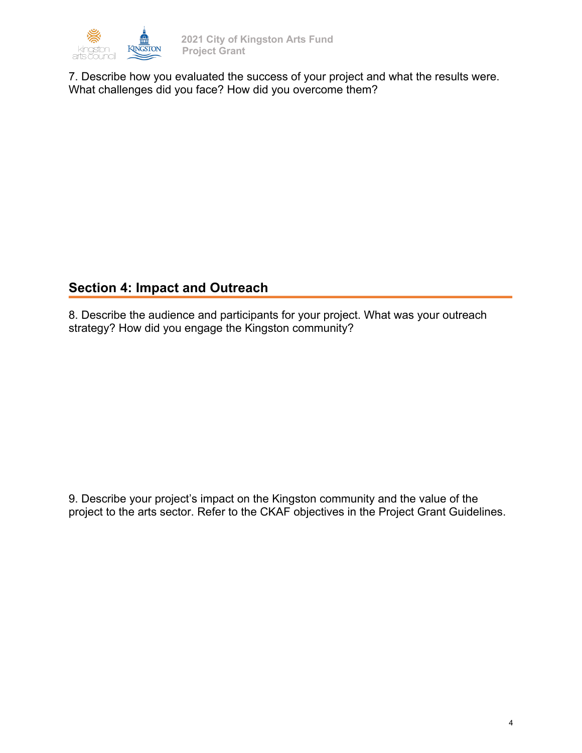

7. Describe how you evaluated the success of your project and what the results were. What challenges did you face? How did you overcome them?

## **Section 4: Impact and Outreach**

8. Describe the audience and participants for your project. What was your outreach strategy? How did you engage the Kingston community?

9. Describe your project's impact on the Kingston community and the value of the project to the arts sector. Refer to the CKAF objectives in the Project Grant Guidelines.